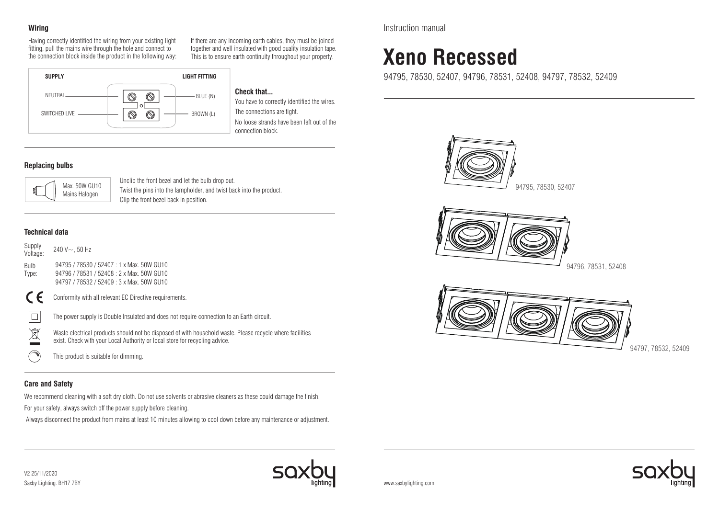# **Wiring**

Having correctly identified the wiring from your existing light fitting, pull the mains wire through the hole and connect to the connection block inside the product in the following way: If there are any incoming earth cables, they must be joined together and well insulated with good quality insulation tape. This is to ensure earth continuity throughout your property.



**Check that...**

You have to correctly identified the wires. The connections are tight. No loose strands have been left out of the connection block.

# **Replacing bulbs**



Unclip the front bezel and let the bulb drop out. Twist the pins into the lampholder, and twist back into the product. Clip the front bezel back in position.

# **Technical data**



This product is suitable for dimming.

# **Care and Safety**

We recommend cleaning with a soft dry cloth. Do not use solvents or abrasive cleaners as these could damage the finish.

For your safety, always switch off the power supply before cleaning.

Always disconnect the product from mains at least 10 minutes allowing to cool down before any maintenance or adjustment.

Instruction manual

# **Xeno Recessed**

94795, 78530, 52407, 94796, 78531, 52408, 94797, 78532, 52409



94797, 78532, 52409



www.saxbylighting.com